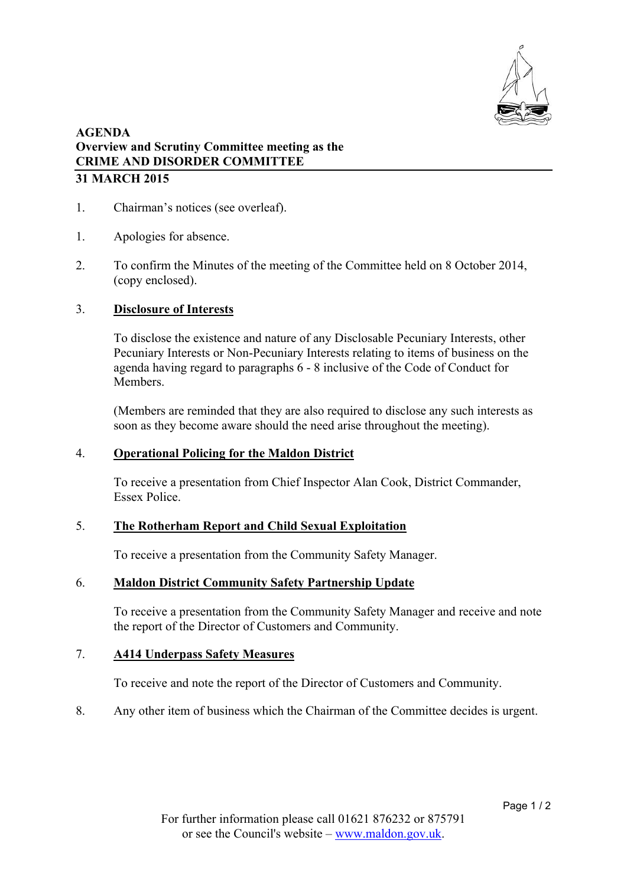

# **AGENDA Overview and Scrutiny Committee meeting as the CRIME AND DISORDER COMMITTEE 31 MARCH 2015**

- 1. Chairman's notices (see overleaf).
- 1. Apologies for absence.
- 2. To confirm the Minutes of the meeting of the Committee held on 8 October 2014, (copy enclosed).

## 3. **Disclosure of Interests**

To disclose the existence and nature of any Disclosable Pecuniary Interests, other Pecuniary Interests or Non-Pecuniary Interests relating to items of business on the agenda having regard to paragraphs 6 - 8 inclusive of the Code of Conduct for **Members** 

(Members are reminded that they are also required to disclose any such interests as soon as they become aware should the need arise throughout the meeting).

### 4. **Operational Policing for the Maldon District**

To receive a presentation from Chief Inspector Alan Cook, District Commander, Essex Police.

### 5. **The Rotherham Report and Child Sexual Exploitation**

To receive a presentation from the Community Safety Manager.

### 6. **Maldon District Community Safety Partnership Update**

To receive a presentation from the Community Safety Manager and receive and note the report of the Director of Customers and Community.

## 7. **A414 Underpass Safety Measures**

To receive and note the report of the Director of Customers and Community.

8. Any other item of business which the Chairman of the Committee decides is urgent.